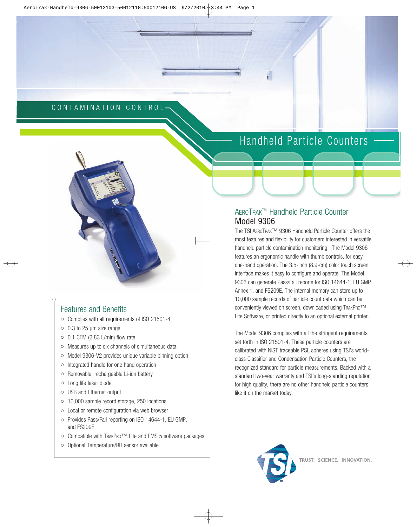#### CONTAMINATION CONTROL

## Handheld Particle Counters -

# Features and Benefits

- Complies with all requirements of ISO 21501-4
- 0.3 to 25 µm size range
- $\circ$  0.1 CFM (2.83 L/min) flow rate
- Measures up to six channels of simultaneous data
- Model 9306-V2 provides unique variable binning option
- Integrated handle for one hand operation
- Removable, rechargeable Li-ion battery
- Long life laser diode
- USB and Ethernet output
- 10,000 sample record storage, 250 locations
- Local or remote configuration via web browser
- Provides Pass/Fail reporting on ISO 14644-1, EU GMP, and FS209E
- Compatible with TRAKPRO™ Lite and FMS 5 software packages
- Optional Temperature/RH sensor available

#### AEROTRAK™ Handheld Particle Counter Model 9306

The TSI AEROTRAK™ 9306 Handheld Particle Counter offers the most features and flexibility for customers interested in versatile handheld particle contamination monitoring. The Model 9306 features an ergonomic handle with thumb controls, for easy one-hand operation. The 3.5-inch (8.9-cm) color touch screen interface makes it easy to configure and operate. The Model 9306 can generate Pass/Fail reports for ISO 14644-1, EU GMP Annex 1, and FS209E. The internal memory can store up to 10,000 sample records of particle count data which can be conveniently viewed on screen, downloaded using TRAKPRO™ Lite Software, or printed directly to an optional external printer.

The Model 9306 complies with all the stringent requirements set forth in ISO 21501-4. These particle counters are calibrated with NIST traceable PSL spheres using TSI's worldclass Classifier and Condensation Particle Counters, the recognized standard for particle measurements. Backed with a standard two-year warranty and TSI's long-standing reputation for high quality, there are no other handheld particle counters like it on the market today.